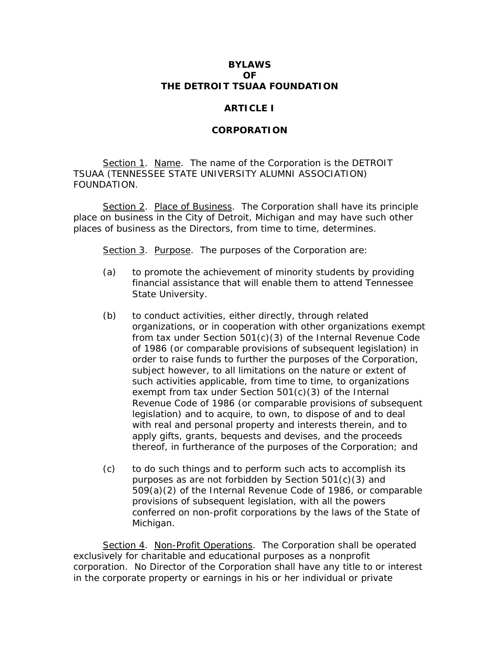## **BYLAWS OF THE DETROIT TSUAA FOUNDATION**

## **ARTICLE I**

## **CORPORATION**

Section 1. Name. The name of the Corporation is the DETROIT TSUAA (TENNESSEE STATE UNIVERSITY ALUMNI ASSOCIATION) FOUNDATION.

Section 2. Place of Business. The Corporation shall have its principle place on business in the City of Detroit, Michigan and may have such other places of business as the Directors, from time to time, determines.

Section 3. Purpose. The purposes of the Corporation are:

- (a) to promote the achievement of minority students by providing financial assistance that will enable them to attend Tennessee State University.
- (b) to conduct activities, either directly, through related organizations, or in cooperation with other organizations exempt from tax under Section 501(c)(3) of the Internal Revenue Code of 1986 (or comparable provisions of subsequent legislation) in order to raise funds to further the purposes of the Corporation, subject however, to all limitations on the nature or extent of such activities applicable, from time to time, to organizations exempt from tax under Section 501(c)(3) of the Internal Revenue Code of 1986 (or comparable provisions of subsequent legislation) and to acquire, to own, to dispose of and to deal with real and personal property and interests therein, and to apply gifts, grants, bequests and devises, and the proceeds thereof, in furtherance of the purposes of the Corporation; and
- (c) to do such things and to perform such acts to accomplish its purposes as are not forbidden by Section 501(c)(3) and 509(a)(2) of the Internal Revenue Code of 1986, or comparable provisions of subsequent legislation, with all the powers conferred on non-profit corporations by the laws of the State of Michigan.

Section 4. Non-Profit Operations. The Corporation shall be operated exclusively for charitable and educational purposes as a nonprofit corporation. No Director of the Corporation shall have any title to or interest in the corporate property or earnings in his or her individual or private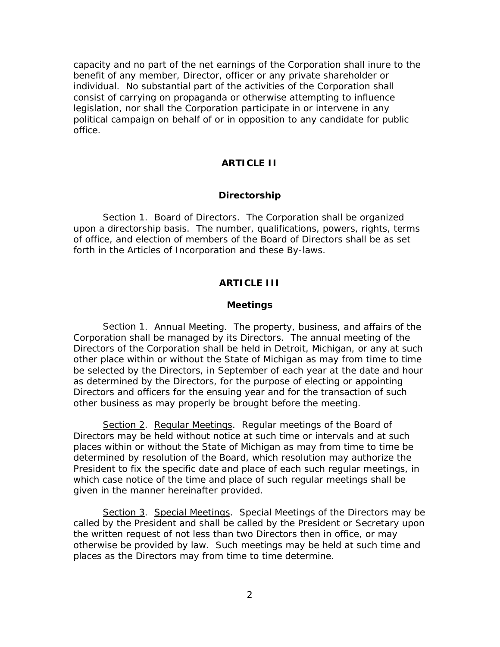capacity and no part of the net earnings of the Corporation shall inure to the benefit of any member, Director, officer or any private shareholder or individual. No substantial part of the activities of the Corporation shall consist of carrying on propaganda or otherwise attempting to influence legislation, nor shall the Corporation participate in or intervene in any political campaign on behalf of or in opposition to any candidate for public office.

# **ARTICLE II**

#### **Directorship**

Section 1. Board of Directors. The Corporation shall be organized upon a directorship basis. The number, qualifications, powers, rights, terms of office, and election of members of the Board of Directors shall be as set forth in the Articles of Incorporation and these By-laws.

## **ARTICLE III**

## **Meetings**

Section 1. Annual Meeting. The property, business, and affairs of the Corporation shall be managed by its Directors. The annual meeting of the Directors of the Corporation shall be held in Detroit, Michigan, or any at such other place within or without the State of Michigan as may from time to time be selected by the Directors, in September of each year at the date and hour as determined by the Directors, for the purpose of electing or appointing Directors and officers for the ensuing year and for the transaction of such other business as may properly be brought before the meeting.

Section 2. Regular Meetings. Regular meetings of the Board of Directors may be held without notice at such time or intervals and at such places within or without the State of Michigan as may from time to time be determined by resolution of the Board, which resolution may authorize the President to fix the specific date and place of each such regular meetings, in which case notice of the time and place of such regular meetings shall be given in the manner hereinafter provided.

Section 3. Special Meetings. Special Meetings of the Directors may be called by the President and shall be called by the President or Secretary upon the written request of not less than two Directors then in office, or may otherwise be provided by law. Such meetings may be held at such time and places as the Directors may from time to time determine.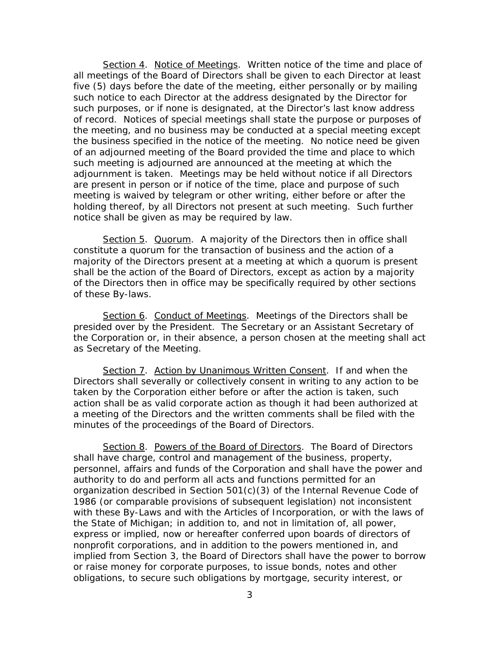Section 4. Notice of Meetings. Written notice of the time and place of all meetings of the Board of Directors shall be given to each Director at least five (5) days before the date of the meeting, either personally or by mailing such notice to each Director at the address designated by the Director for such purposes, or if none is designated, at the Director's last know address of record. Notices of special meetings shall state the purpose or purposes of the meeting, and no business may be conducted at a special meeting except the business specified in the notice of the meeting. No notice need be given of an adjourned meeting of the Board provided the time and place to which such meeting is adjourned are announced at the meeting at which the adjournment is taken. Meetings may be held without notice if all Directors are present in person or if notice of the time, place and purpose of such meeting is waived by telegram or other writing, either before or after the holding thereof, by all Directors not present at such meeting. Such further notice shall be given as may be required by law.

Section 5. Quorum. A majority of the Directors then in office shall constitute a quorum for the transaction of business and the action of a majority of the Directors present at a meeting at which a quorum is present shall be the action of the Board of Directors, except as action by a majority of the Directors then in office may be specifically required by other sections of these By-laws.

Section 6. Conduct of Meetings. Meetings of the Directors shall be presided over by the President. The Secretary or an Assistant Secretary of the Corporation or, in their absence, a person chosen at the meeting shall act as Secretary of the Meeting.

Section 7. Action by Unanimous Written Consent. If and when the Directors shall severally or collectively consent in writing to any action to be taken by the Corporation either before or after the action is taken, such action shall be as valid corporate action as though it had been authorized at a meeting of the Directors and the written comments shall be filed with the minutes of the proceedings of the Board of Directors.

Section 8. Powers of the Board of Directors. The Board of Directors shall have charge, control and management of the business, property, personnel, affairs and funds of the Corporation and shall have the power and authority to do and perform all acts and functions permitted for an organization described in Section 501(c)(3) of the Internal Revenue Code of 1986 (or comparable provisions of subsequent legislation) not inconsistent with these By-Laws and with the Articles of Incorporation, or with the laws of the State of Michigan; in addition to, and not in limitation of, all power, express or implied, now or hereafter conferred upon boards of directors of nonprofit corporations, and in addition to the powers mentioned in, and implied from Section 3, the Board of Directors shall have the power to borrow or raise money for corporate purposes, to issue bonds, notes and other obligations, to secure such obligations by mortgage, security interest, or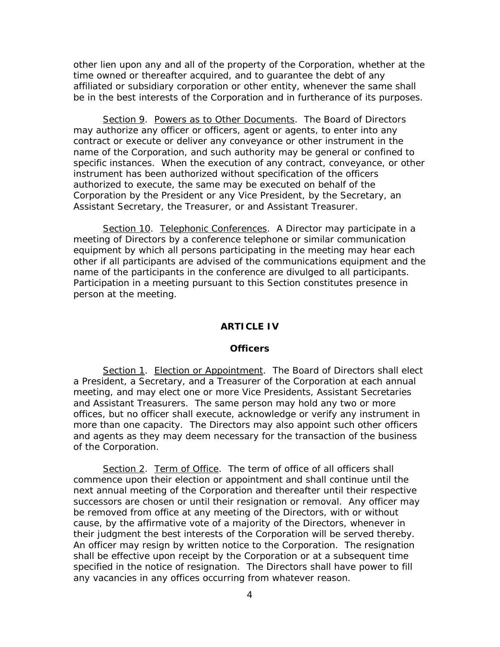other lien upon any and all of the property of the Corporation, whether at the time owned or thereafter acquired, and to guarantee the debt of any affiliated or subsidiary corporation or other entity, whenever the same shall be in the best interests of the Corporation and in furtherance of its purposes.

Section 9. Powers as to Other Documents. The Board of Directors may authorize any officer or officers, agent or agents, to enter into any contract or execute or deliver any conveyance or other instrument in the name of the Corporation, and such authority may be general or confined to specific instances. When the execution of any contract, conveyance, or other instrument has been authorized without specification of the officers authorized to execute, the same may be executed on behalf of the Corporation by the President or any Vice President, by the Secretary, an Assistant Secretary, the Treasurer, or and Assistant Treasurer.

Section 10. Telephonic Conferences. A Director may participate in a meeting of Directors by a conference telephone or similar communication equipment by which all persons participating in the meeting may hear each other if all participants are advised of the communications equipment and the name of the participants in the conference are divulged to all participants. Participation in a meeting pursuant to this Section constitutes presence in person at the meeting.

### **ARTICLE IV**

#### **Officers**

Section 1. Election or Appointment. The Board of Directors shall elect a President, a Secretary, and a Treasurer of the Corporation at each annual meeting, and may elect one or more Vice Presidents, Assistant Secretaries and Assistant Treasurers. The same person may hold any two or more offices, but no officer shall execute, acknowledge or verify any instrument in more than one capacity. The Directors may also appoint such other officers and agents as they may deem necessary for the transaction of the business of the Corporation.

Section 2. Term of Office. The term of office of all officers shall commence upon their election or appointment and shall continue until the next annual meeting of the Corporation and thereafter until their respective successors are chosen or until their resignation or removal. Any officer may be removed from office at any meeting of the Directors, with or without cause, by the affirmative vote of a majority of the Directors, whenever in their judgment the best interests of the Corporation will be served thereby. An officer may resign by written notice to the Corporation. The resignation shall be effective upon receipt by the Corporation or at a subsequent time specified in the notice of resignation. The Directors shall have power to fill any vacancies in any offices occurring from whatever reason.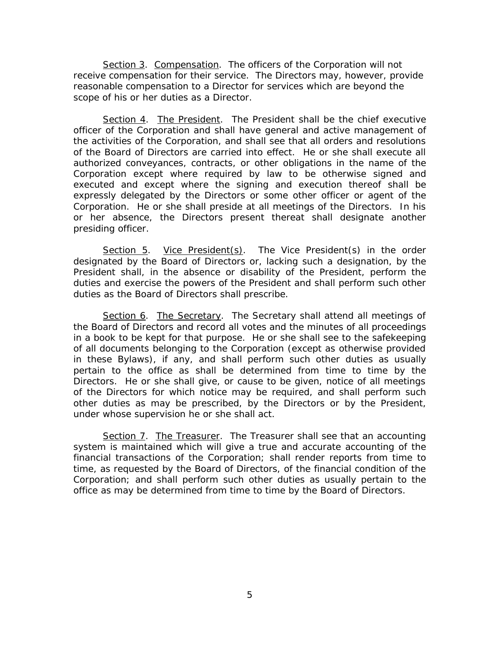Section 3. Compensation. The officers of the Corporation will not receive compensation for their service. The Directors may, however, provide reasonable compensation to a Director for services which are beyond the scope of his or her duties as a Director.

Section 4. The President. The President shall be the chief executive officer of the Corporation and shall have general and active management of the activities of the Corporation, and shall see that all orders and resolutions of the Board of Directors are carried into effect. He or she shall execute all authorized conveyances, contracts, or other obligations in the name of the Corporation except where required by law to be otherwise signed and executed and except where the signing and execution thereof shall be expressly delegated by the Directors or some other officer or agent of the Corporation. He or she shall preside at all meetings of the Directors. In his or her absence, the Directors present thereat shall designate another presiding officer.

Section 5. Vice President(s). The Vice President(s) in the order designated by the Board of Directors or, lacking such a designation, by the President shall, in the absence or disability of the President, perform the duties and exercise the powers of the President and shall perform such other duties as the Board of Directors shall prescribe.

Section 6. The Secretary. The Secretary shall attend all meetings of the Board of Directors and record all votes and the minutes of all proceedings in a book to be kept for that purpose. He or she shall see to the safekeeping of all documents belonging to the Corporation (except as otherwise provided in these Bylaws), if any, and shall perform such other duties as usually pertain to the office as shall be determined from time to time by the Directors. He or she shall give, or cause to be given, notice of all meetings of the Directors for which notice may be required, and shall perform such other duties as may be prescribed, by the Directors or by the President, under whose supervision he or she shall act.

Section 7. The Treasurer. The Treasurer shall see that an accounting system is maintained which will give a true and accurate accounting of the financial transactions of the Corporation; shall render reports from time to time, as requested by the Board of Directors, of the financial condition of the Corporation; and shall perform such other duties as usually pertain to the office as may be determined from time to time by the Board of Directors.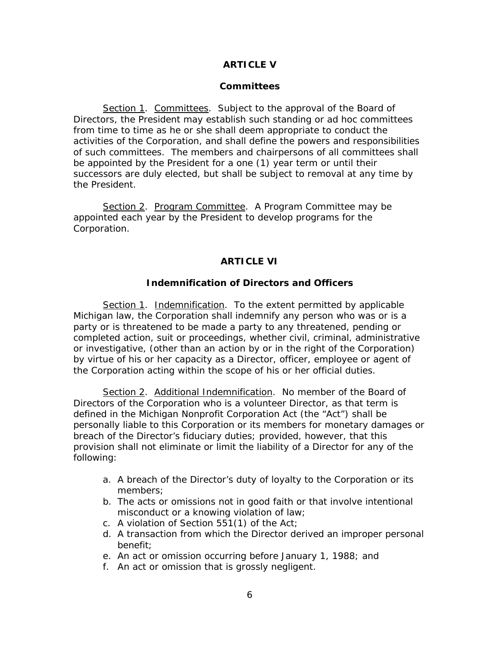# **ARTICLE V**

## **Committees**

Section 1. Committees. Subject to the approval of the Board of Directors, the President may establish such standing or ad hoc committees from time to time as he or she shall deem appropriate to conduct the activities of the Corporation, and shall define the powers and responsibilities of such committees. The members and chairpersons of all committees shall be appointed by the President for a one (1) year term or until their successors are duly elected, but shall be subject to removal at any time by the President.

Section 2. Program Committee. A Program Committee may be appointed each year by the President to develop programs for the Corporation.

## **ARTICLE VI**

## **Indemnification of Directors and Officers**

Section 1. Indemnification. To the extent permitted by applicable Michigan law, the Corporation shall indemnify any person who was or is a party or is threatened to be made a party to any threatened, pending or completed action, suit or proceedings, whether civil, criminal, administrative or investigative, (other than an action by or in the right of the Corporation) by virtue of his or her capacity as a Director, officer, employee or agent of the Corporation acting within the scope of his or her official duties.

Section 2. Additional Indemnification. No member of the Board of Directors of the Corporation who is a volunteer Director, as that term is defined in the Michigan Nonprofit Corporation Act (the "Act") shall be personally liable to this Corporation or its members for monetary damages or breach of the Director's fiduciary duties; provided, however, that this provision shall not eliminate or limit the liability of a Director for any of the following:

- a. A breach of the Director's duty of loyalty to the Corporation or its members;
- b. The acts or omissions not in good faith or that involve intentional misconduct or a knowing violation of law;
- c. A violation of Section 551(1) of the Act;
- d. A transaction from which the Director derived an improper personal benefit;
- e. An act or omission occurring before January 1, 1988; and
- f. An act or omission that is grossly negligent.